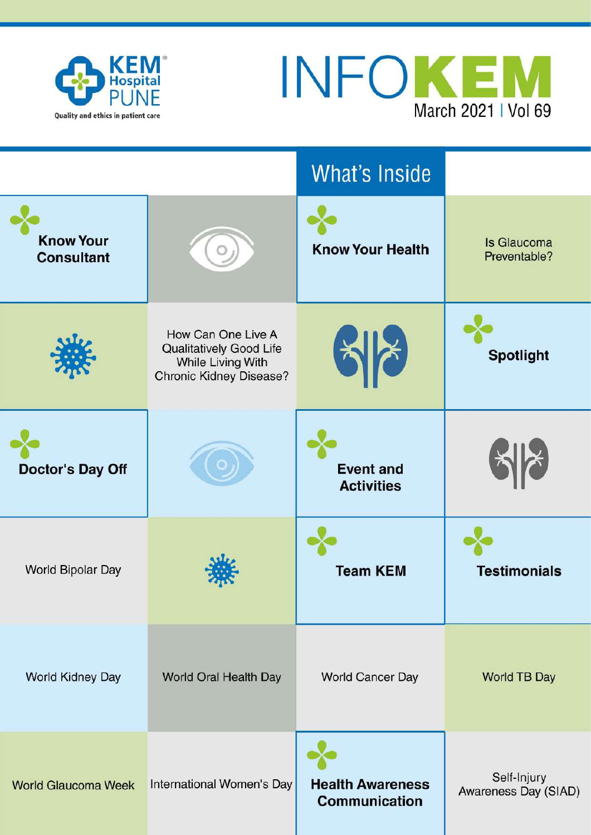



|                                       |                                                                                               | What's Inside                                   |                                     |
|---------------------------------------|-----------------------------------------------------------------------------------------------|-------------------------------------------------|-------------------------------------|
| <b>Know Your</b><br><b>Consultant</b> |                                                                                               | <b>Know Your Health</b>                         | <b>Is Glaucoma</b><br>Preventable?  |
|                                       | How Can One Live A<br>Qualitatively Good Life<br>While Living With<br>Chronic Kidney Disease? |                                                 | <b>Spotlight</b>                    |
| <b>Doctor's Day Off</b>               |                                                                                               | <b>Event and</b><br><b>Activities</b>           |                                     |
| World Bipolar Day                     |                                                                                               | <b>Team KEM</b>                                 | <b>Testimonials</b>                 |
| World Kidney Day                      | World Oral Health Day                                                                         | World Cancer Day                                | <b>World TB Day</b>                 |
| <b>World Glaucoma Week</b>            | International Women's Day                                                                     | <b>Health Awareness</b><br><b>Communication</b> | Self-Injury<br>Awareness Day (SIAD) |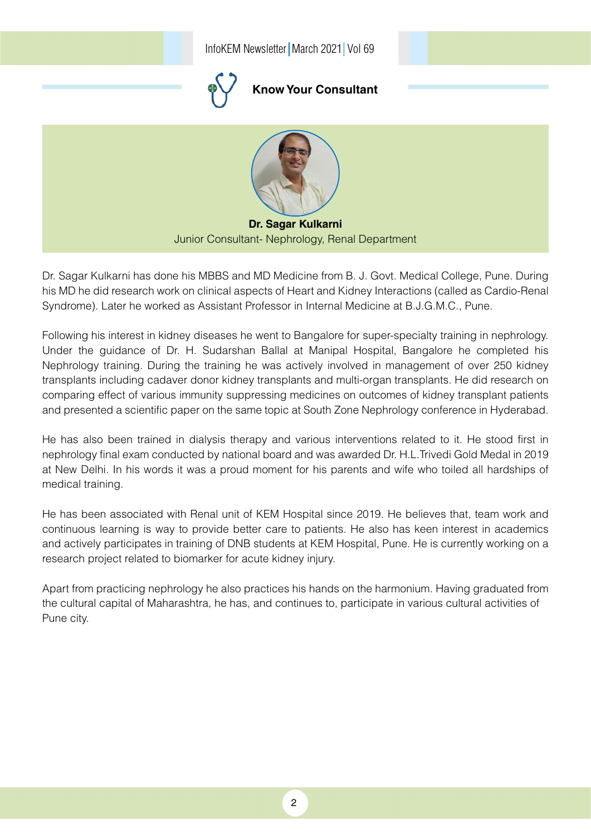

Dr. Sagar Kulkarni has done his MBBS and MD Medicine from B. J. Govt. Medical College, Pune. During his MD he did research work on clinical aspects of Heart and Kidney Interactions (called as Cardio-Renal Syndrome). Later he worked as Assistant Professor in Internal Medicine at B.J.G.M.C., Pune.

Following his interest in kidney diseases he went to Bangalore for super-specialty training in nephrology. Under the guidance of Dr. H. Sudarshan Ballal at Manipal Hospital, Bangalore he completed his Nephrology training. During the training he was actively involved in management of over 250 kidney transplants including cadaver donor kidney transplants and multi-organ transplants. He did research on comparing effect of various immunity suppressing medicines on outcomes of kidney transplant patients and presented a scientific paper on the same topic at South Zone Nephrology conference in Hyderabad.

He has also been trained in dialysis therapy and various interventions related to it. He stood first in nephrology final exam conducted by national board and was awarded Dr. H.L.Trivedi Gold Medal in 2019 at New Delhi. In his words it was a proud moment for his parents and wife who toiled all hardships of medical training.

He has been associated with Renal unit of KEM Hospital since 2019. He believes that, team work and continuous learning is way to provide better care to patients. He also has keen interest in academics and actively participates in training of DNB students at KEM Hospital, Pune. He is currently working on a research project related to biomarker for acute kidney injury.

Apart from practicing nephrology he also practices his hands on the harmonium. Having graduated from the cultural capital of Maharashtra, he has, and continues to, participate in various cultural activities of Pune city.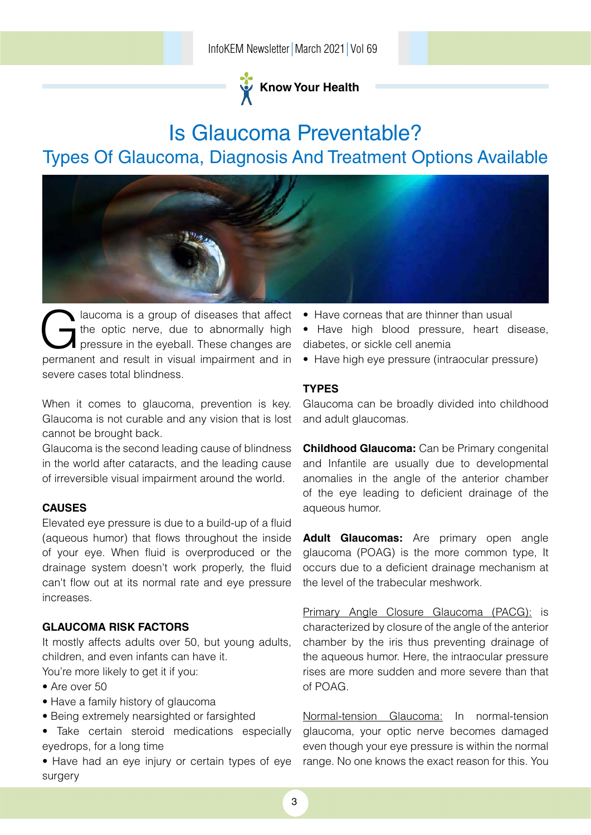

# Is Glaucoma Preventable? Types Of Glaucoma, Diagnosis And Treatment Options Available



laucoma is a group of diseases that affect the optic nerve, due to abnormally high pressure in the eyeball. These changes are permanent and result in visual impairment and in severe cases total blindness.

When it comes to glaucoma, prevention is key. Glaucoma is not curable and any vision that is lost cannot be brought back.

Glaucoma is the second leading cause of blindness in the world after cataracts, and the leading cause of irreversible visual impairment around the world.

### **Causes**

Elevated eye pressure is due to a build-up of a fluid (aqueous humor) that flows throughout the inside of your eye. When fluid is overproduced or the drainage system doesn't work properly, the fluid can't flow out at its normal rate and eye pressure increases.

### **Glaucoma Risk Factors**

It mostly affects adults over 50, but young adults, children, and even infants can have it.

You're more likely to get it if you:

- Are over 50
- Have a family history of glaucoma
- Being extremely nearsighted or farsighted
- Take certain steroid medications especially eyedrops, for a long time

• Have had an eye injury or certain types of eye surgery

- Have corneas that are thinner than usual
- Have high blood pressure, heart disease, diabetes, or sickle cell anemia
- Have high eye pressure (intraocular pressure)

### **Types**

Glaucoma can be broadly divided into childhood and adult glaucomas.

**Childhood Glaucoma:** Can be Primary congenital and Infantile are usually due to developmental anomalies in the angle of the anterior chamber of the eye leading to deficient drainage of the aqueous humor.

**Adult Glaucomas:** Are primary open angle glaucoma (POAG) is the more common type, It occurs due to a deficient drainage mechanism at the level of the trabecular meshwork.

Primary Angle Closure Glaucoma (PACG): is characterized by closure of the angle of the anterior chamber by the iris thus preventing drainage of the aqueous humor. Here, the intraocular pressure rises are more sudden and more severe than that of POAG.

Normal-tension Glaucoma: In normal-tension glaucoma, your optic nerve becomes damaged even though your eye pressure is within the normal range. No one knows the exact reason for this. You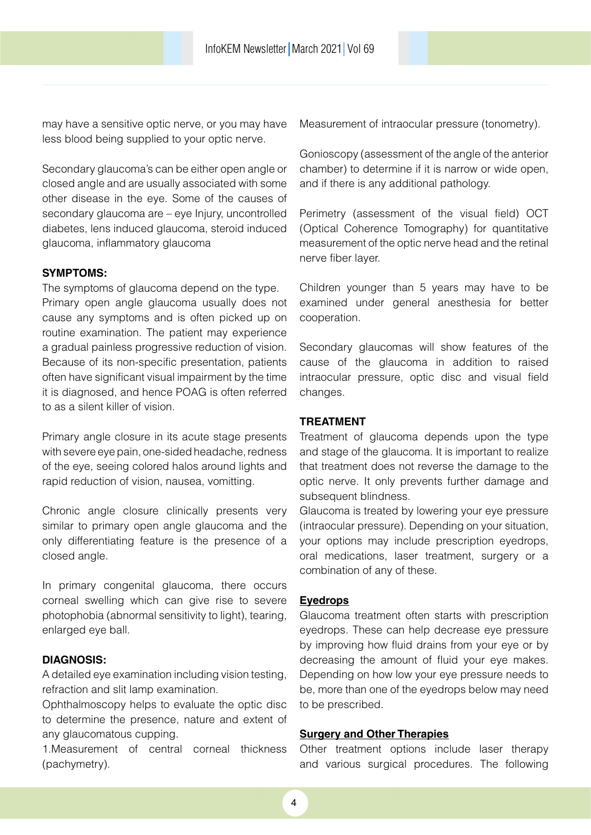may have a sensitive optic nerve, or you may have less blood being supplied to your optic nerve.

Secondary glaucoma's can be either open angle or closed angle and are usually associated with some other disease in the eye. Some of the causes of secondary glaucoma are – eye Injury, uncontrolled diabetes, lens induced glaucoma, steroid induced glaucoma, inflammatory glaucoma

### **Symptoms:**

The symptoms of glaucoma depend on the type. Primary open angle glaucoma usually does not cause any symptoms and is often picked up on routine examination. The patient may experience a gradual painless progressive reduction of vision. Because of its non-specific presentation, patients often have significant visual impairment by the time it is diagnosed, and hence POAG is often referred to as a silent killer of vision.

Primary angle closure in its acute stage presents with severe eye pain, one-sided headache, redness of the eye, seeing colored halos around lights and rapid reduction of vision, nausea, vomitting.

Chronic angle closure clinically presents very similar to primary open angle glaucoma and the only differentiating feature is the presence of a closed angle.

In primary congenital glaucoma, there occurs corneal swelling which can give rise to severe photophobia (abnormal sensitivity to light), tearing, enlarged eye ball.

### **Diagnosis:**

A detailed eye examination including vision testing, refraction and slit lamp examination.

Ophthalmoscopy helps to evaluate the optic disc to determine the presence, nature and extent of any glaucomatous cupping.

1.Measurement of central corneal thickness (pachymetry).

Measurement of intraocular pressure (tonometry).

Gonioscopy (assessment of the angle of the anterior chamber) to determine if it is narrow or wide open, and if there is any additional pathology.

Perimetry (assessment of the visual field) OCT (Optical Coherence Tomography) for quantitative measurement of the optic nerve head and the retinal nerve fiber layer.

Children younger than 5 years may have to be examined under general anesthesia for better cooperation.

Secondary glaucomas will show features of the cause of the glaucoma in addition to raised intraocular pressure, optic disc and visual field changes.

#### **Treatment**

Treatment of glaucoma depends upon the type and stage of the glaucoma. It is important to realize that treatment does not reverse the damage to the optic nerve. It only prevents further damage and subsequent blindness.

Glaucoma is treated by lowering your eye pressure (intraocular pressure). Depending on your situation, your options may include prescription eyedrops, oral medications, laser treatment, surgery or a combination of any of these.

#### **Eyedrops**

Glaucoma treatment often starts with prescription eyedrops. These can help decrease eye pressure by improving how fluid drains from your eye or by decreasing the amount of fluid your eye makes. Depending on how low your eye pressure needs to be, more than one of the eyedrops below may need to be prescribed.

### **Surgery and Other Therapies**

Other treatment options include laser therapy and various surgical procedures. The following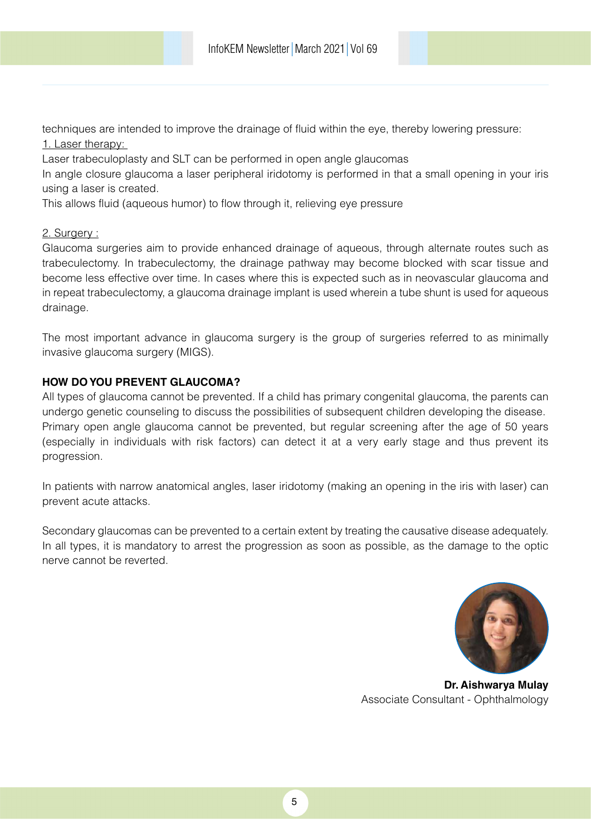techniques are intended to improve the drainage of fluid within the eye, thereby lowering pressure: 1. Laser therapy:

Laser trabeculoplasty and SLT can be performed in open angle glaucomas

In angle closure glaucoma a laser peripheral iridotomy is performed in that a small opening in your iris using a laser is created.

This allows fluid (aqueous humor) to flow through it, relieving eye pressure

### 2. Surgery :

Glaucoma surgeries aim to provide enhanced drainage of aqueous, through alternate routes such as trabeculectomy. In trabeculectomy, the drainage pathway may become blocked with scar tissue and become less effective over time. In cases where this is expected such as in neovascular glaucoma and in repeat trabeculectomy, a glaucoma drainage implant is used wherein a tube shunt is used for aqueous drainage.

The most important advance in glaucoma surgery is the group of surgeries referred to as minimally invasive glaucoma surgery (MIGS).

### **How do you Prevent Glaucoma?**

All types of glaucoma cannot be prevented. If a child has primary congenital glaucoma, the parents can undergo genetic counseling to discuss the possibilities of subsequent children developing the disease. Primary open angle glaucoma cannot be prevented, but regular screening after the age of 50 years (especially in individuals with risk factors) can detect it at a very early stage and thus prevent its progression.

In patients with narrow anatomical angles, laser iridotomy (making an opening in the iris with laser) can prevent acute attacks.

Secondary glaucomas can be prevented to a certain extent by treating the causative disease adequately. In all types, it is mandatory to arrest the progression as soon as possible, as the damage to the optic nerve cannot be reverted.



**Dr. Aishwarya Mulay** Associate Consultant - Ophthalmology

5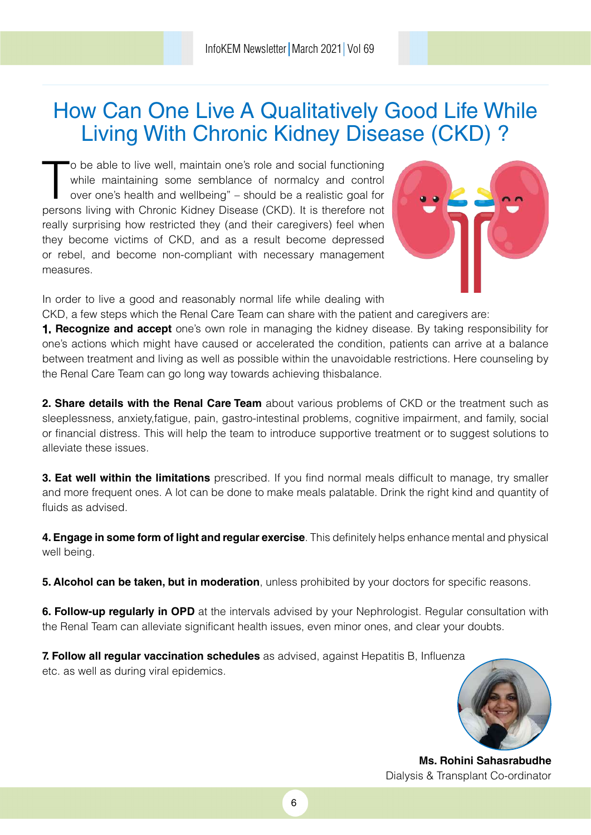# How Can One Live A Qualitatively Good Life While Living With Chronic Kidney Disease (CKD) ?

 $\frac{1}{2}$ o be able to live well, maintain one's role and social functioning while maintaining some semblance of normalcy and control over one's health and wellbeing" – should be a realistic goal for persons living with Chronic Kidney Disease (CKD). It is therefore not really surprising how restricted they (and their caregivers) feel when they become victims of CKD, and as a result become depressed or rebel, and become non-compliant with necessary management measures.



In order to live a good and reasonably normal life while dealing with

CKD, a few steps which the Renal Care Team can share with the patient and caregivers are:

**1. Recognize and accept** one's own role in managing the kidney disease. By taking responsibility for one's actions which might have caused or accelerated the condition, patients can arrive at a balance between treatment and living as well as possible within the unavoidable restrictions. Here counseling by the Renal Care Team can go long way towards achieving thisbalance.

**2. Share details with the Renal Care Team** about various problems of CKD or the treatment such as sleeplessness, anxiety,fatigue, pain, gastro-intestinal problems, cognitive impairment, and family, social or financial distress. This will help the team to introduce supportive treatment or to suggest solutions to alleviate these issues.

**3. Eat well within the limitations** prescribed. If you find normal meals difficult to manage, try smaller and more frequent ones. A lot can be done to make meals palatable. Drink the right kind and quantity of fluids as advised.

**4. Engage in some form of light and regular exercise**. This definitely helps enhance mental and physical well being.

**5. Alcohol can be taken, but in moderation**, unless prohibited by your doctors for specific reasons.

**6. Follow-up regularly in OPD** at the intervals advised by your Nephrologist. Regular consultation with the Renal Team can alleviate significant health issues, even minor ones, and clear your doubts.

**7. Follow all regular vaccination schedules** as advised, against Hepatitis B, Influenza etc. as well as during viral epidemics.



**Ms. Rohini Sahasrabudhe** Dialysis & Transplant Co-ordinator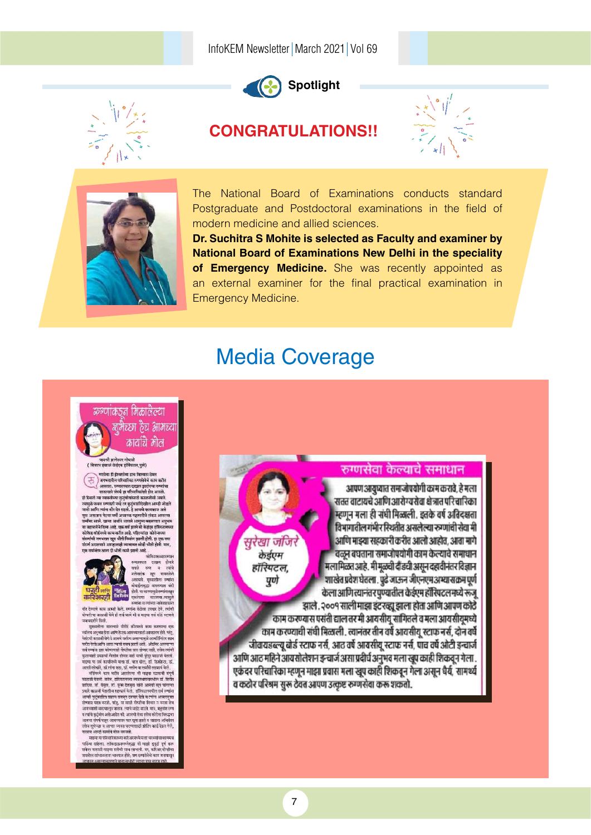

## **Spotlight**

### **CONGRATULATIONS!!**





The National Board of Examinations conducts standard Postgraduate and Postdoctoral examinations in the field of modern medicine and allied sciences.

**Dr. Suchitra S Mohite is selected as Faculty and examiner by National Board of Examinations New Delhi in the speciality of Emergency Medicine.** She was recently appointed as an external examiner for the final practical examination in Emergency Medicine.

## Media Coverage

### क्रग्णांक5न मिळालेल्या ञ्चभैच्छा हैच आमच्या कार्यांचे मौल

### -<br>-<br>जयश्री झानेश्वर गोपाळे<br>दर इंचार्ज केईएम हॉरियटत,पुणे)

,<br>-<br>बाभगतील परिचारिका रुण्यसेवेचे काम करीत .<br>-<br>-सातल्याने संपर्क हा परिश्रास्थितीशी होत असतो.<br>-सातल्याने संपर्क हा परिश्रास्थितीशी होत असतो.

साहत्याने संसर्क हा परिचारिकश्चिमी होता आसतो.<br>ही स्थिती त्या व्यवस्त्रीच्या कुटुंबीयोसाठी कोळतीलो असली.<br>त्याचुळे फवन हम्माक्षी नव्हें तर बुद्धवाशस्त्रिकील आगरी जोडलो.<br>जातो आणि स्थांचा कीर देत राहतो. हे आपसे कम्पकाज असे<br>म 



रुग्णसेवा केल्याचे समाधान

आपण आयुष्यात समाजोपयोगी काम करावे, हे मत्ता सतत वाटायचे आणि आरोग्यसेवा क्षेत्रात परिचारिका म्हणून मला ही संघी मिळाली. इतके वर्ष अतिदक्षता विभागातील गंभीर रिथतीत असलेल्या रुग्णांची सेवा मी सुरेखा जंजिरे अणि माझ्या सहकारी करीत आलो आहोत. आता मागे वळन बघताना समाजोपयोगी काम केल्याचे समाधान केईएम मला मिळत आहे. मी मूळची दौंडची असून दहावीनंतर विज्ञान हॉरियटल, शाखेत प्रवेश घेतला. पुढे जाऊन जीएनएम अभ्यासक्रम पूर्ण पूर्ण केला आणि त्यानंतर पुण्यातील केईएम हॉस्पिटलमध्ये रूज् झाले. २००१ साली माझा इंटरव्हा झाला होता आणि आपण कोठे काम करण्यास पसंती द्याल तर मी आयसीयू सांगितले व मला आयसीयूमध्ये काम करण्याची संघी मिळाली. त्यानंतर तीन वर्षे आयसीय स्टाफ नर्स, दोन वर्षे जीवायडब्ल्यू बोर्ड स्टाफ नर्स, आठ वर्षे आवसीयू स्टाफ नर्स, पाच वर्षे ओटी इन्चार्ज आणि आठ महिने आयसोलेशन इन्चार्ज असा प्रदीर्घ अनुभव मला खूप काही शिकवून गेला . एकंदर परिचारिका म्हणून माझा प्रवास मला खूप काही शिकवून गेला असून धैर्य, सामर्थ्य व कठोर परिश्रम सुरू ठेवत आपण उत्कृष्ट रुग्णसेवा करू शकतो.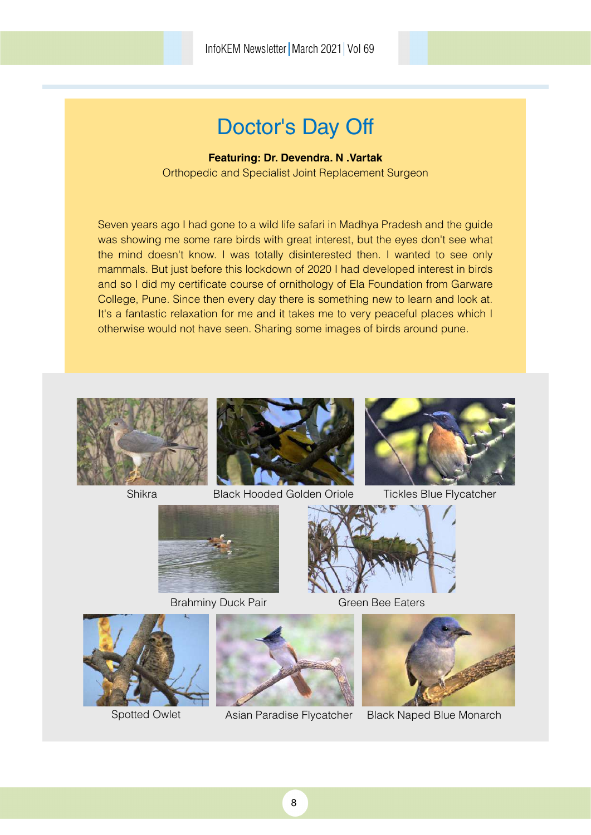# Doctor's Day Off

### **Featuring: Dr. Devendra. N .Vartak**

Orthopedic and Specialist Joint Replacement Surgeon

Seven years ago I had gone to a wild life safari in Madhya Pradesh and the guide was showing me some rare birds with great interest, but the eyes don't see what the mind doesn't know. I was totally disinterested then. I wanted to see only mammals. But just before this lockdown of 2020 I had developed interest in birds and so I did my certificate course of ornithology of Ela Foundation from Garware College, Pune. Since then every day there is something new to learn and look at. It's a fantastic relaxation for me and it takes me to very peaceful places which I otherwise would not have seen. Sharing some images of birds around pune.









Asian Paradise Flycatcher Black Naped Blue Monarch









Spotted Owlet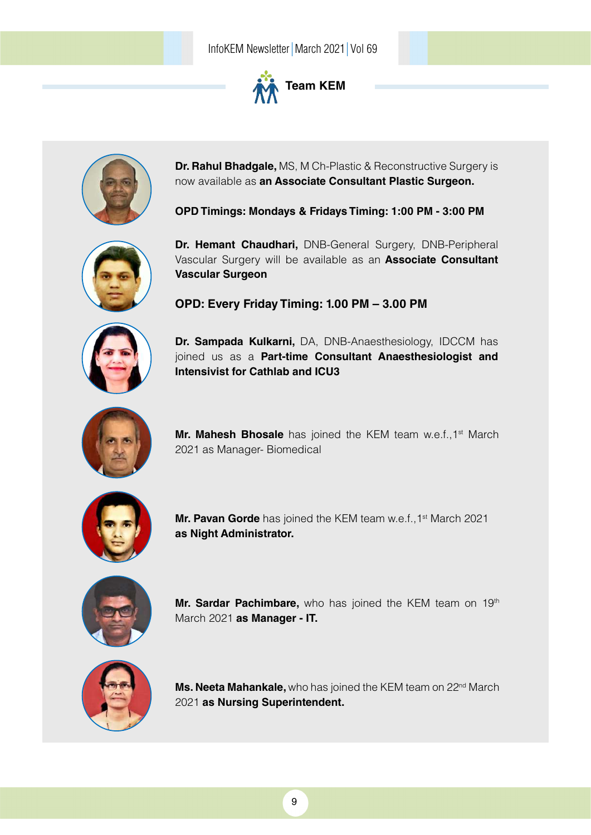



**Dr. Rahul Bhadgale,** MS, M Ch-Plastic & Reconstructive Surgery is now available as **an Associate Consultant Plastic Surgeon.**

**OPD Timings: Mondays & Fridays Timing: 1:00 PM - 3:00 PM** 



**Dr. Hemant Chaudhari,** DNB-General Surgery, DNB-Peripheral Vascular Surgery will be available as an **Associate Consultant Vascular Surgeon**

**OPD: Every Friday Timing: 1.00 PM – 3.00 PM**

**Dr. Sampada Kulkarni,** DA, DNB-Anaesthesiology, IDCCM has joined us as a **Part-time Consultant Anaesthesiologist and Intensivist for Cathlab and ICU3**



**Mr. Mahesh Bhosale** has joined the KEM team w.e.f., 1<sup>st</sup> March 2021 as Manager- Biomedical



**Mr. Pavan Gorde** has joined the KEM team w.e.f., 1<sup>st</sup> March 2021 **as Night Administrator.**



Mr. Sardar Pachimbare, who has joined the KEM team on 19<sup>th</sup> March 2021 **as Manager - IT.** 



Ms. Neeta Mahankale, who has joined the KEM team on 22<sup>nd</sup> March 2021 **as Nursing Superintendent.**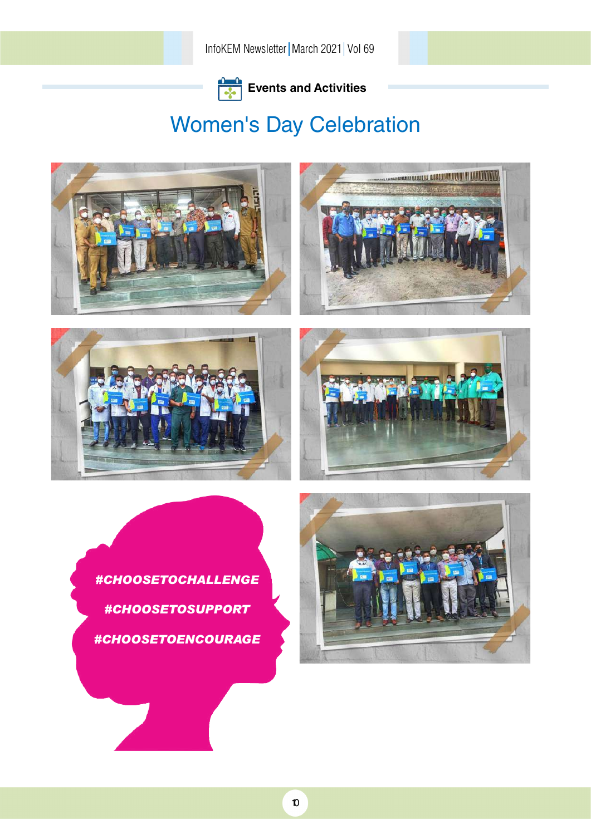

# Women's Day Celebration



*#CHOOSETOCHALLENGE #CHOOSETOSUPPORT #CHOOSETOENCOURAGE*

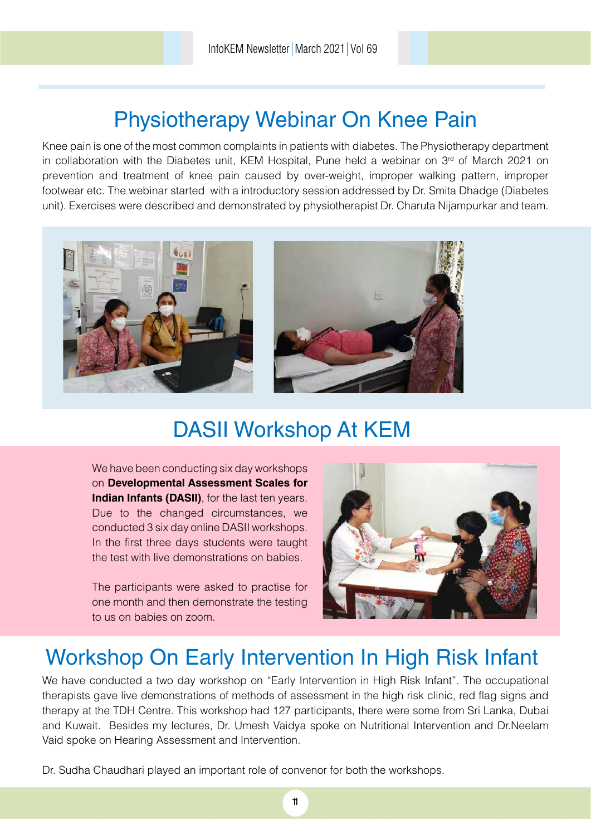# Physiotherapy Webinar On Knee Pain

Knee pain is one of the most common complaints in patients with diabetes. The Physiotherapy department in collaboration with the Diabetes unit, KEM Hospital, Pune held a webinar on 3<sup>rd</sup> of March 2021 on prevention and treatment of knee pain caused by over-weight, improper walking pattern, improper footwear etc. The webinar started with a introductory session addressed by Dr. Smita Dhadge (Diabetes unit). Exercises were described and demonstrated by physiotherapist Dr. Charuta Nijampurkar and team.



# DASII Workshop At KEM

We have been conducting six day workshops on **Developmental Assessment Scales for Indian Infants (DASII)**, for the last ten years. Due to the changed circumstances, we conducted 3 six day online DASII workshops. In the first three days students were taught the test with live demonstrations on babies.

The participants were asked to practise for one month and then demonstrate the testing to us on babies on zoom.



# Workshop On Early Intervention In High Risk Infant

We have conducted a two day workshop on "Early Intervention in High Risk Infant". The occupational therapists gave live demonstrations of methods of assessment in the high risk clinic, red flag signs and therapy at the TDH Centre. This workshop had 127 participants, there were some from Sri Lanka, Dubai and Kuwait. Besides my lectures, Dr. Umesh Vaidya spoke on Nutritional Intervention and Dr.Neelam Vaid spoke on Hearing Assessment and Intervention.

Dr. Sudha Chaudhari played an important role of convenor for both the workshops.

11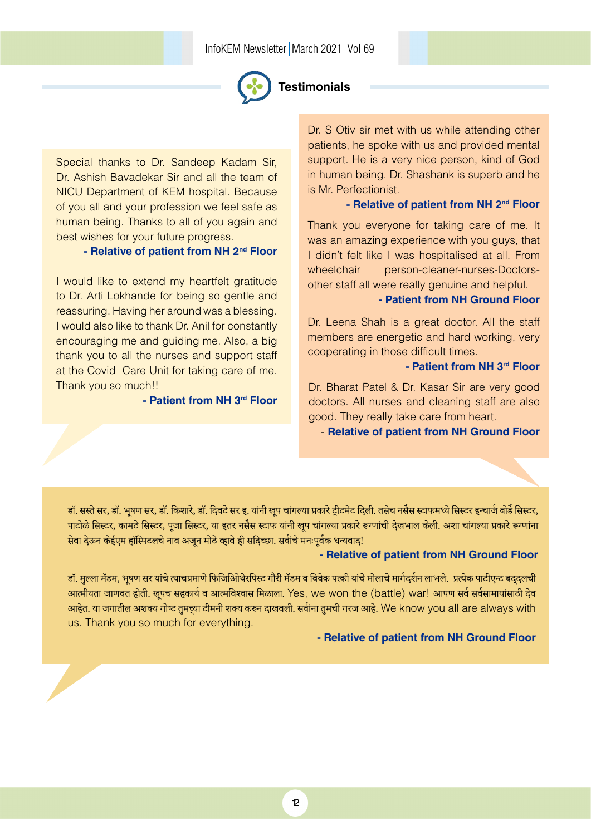

### **Testimonials**

Special thanks to Dr. Sandeep Kadam Sir, Dr. Ashish Bavadekar Sir and all the team of NICU Department of KEM hospital. Because of you all and your profession we feel safe as human being. Thanks to all of you again and best wishes for your future progress.

### **- Relative of patient from NH 2nd Floor**

I would like to extend my heartfelt gratitude to Dr. Arti Lokhande for being so gentle and reassuring. Having her around was a blessing. I would also like to thank Dr. Anil for constantly encouraging me and guiding me. Also, a big thank you to all the nurses and support staff at the Covid Care Unit for taking care of me. Thank you so much!!

**- Patient from NH 3rd Floor**

Dr. S Otiv sir met with us while attending other patients, he spoke with us and provided mental support. He is a very nice person, kind of God in human being. Dr. Shashank is superb and he is Mr. Perfectionist.

#### **- Relative of patient from NH 2nd Floor**

Thank you everyone for taking care of me. It was an amazing experience with you guys, that I didn't felt like I was hospitalised at all. From wheelchair person-cleaner-nurses-Doctorsother staff all were really genuine and helpful.

### **- Patient from NH Ground Floor**

Dr. Leena Shah is a great doctor. All the staff members are energetic and hard working, very cooperating in those difficult times.

#### **- Patient from NH 3rd Floor**

Dr. Bharat Patel & Dr. Kasar Sir are very good doctors. All nurses and cleaning staff are also good. They really take care from heart.

- **Relative of patient from NH Ground Floor**

डॉ. सस्ते सर, डॉ. भूषण सर, डॉ. किशारे, डॉ. दिवटे सर इ. यांनी खुप चांगल्या प्रकारे ट्रीटमेंट दिली. तसेच नसैस स्टाफमध्ये सिस्टर इन्चार्ज बोर्डे सिस्टर, पाटोळे सिस्टर, कामठे सिस्टर, पूजा सिस्टर, या इतर नसैस स्टाफ यांनी खूप चांगल्या प्रकारे रूग्णांची देखभाल केली. अशा चांगल्या प्रकारे रूग्णांना सेवा देऊन केईएम हॉस्पिटलचे नाव अजन मोठे व्हावे ही सदिच्छा. सर्वाचे मनःपर्वक धन्यवाद!

### **- Relative of patient from NH Ground Floor**

डॉ. मुल्ला मॅडम, भूषण सर यांचे त्याचप्रमाणे फिजिओिथेरपिस्ट गौरी मॅडम व विवेक पत्की यांचे मोलाचे मार्गदर्शन लाभले. प्रत्येक पाटीएन्ट बदुदुलची आत्मीयता जाणवत होती. खूपच सहकार्य व आत्मविश्वास मिळाला. Yes, we won the (battle) war! आपण सर्व सर्वसामायांसाठी देव आहेत. या जगातील अशक्य गोष्ट तुमच्या टीमनी शक्य करुन दाखवली. सर्वांना तुमची गरज आहे. We know you all are always with us. Thank you so much for everything.

### **- Relative of patient from NH Ground Floor**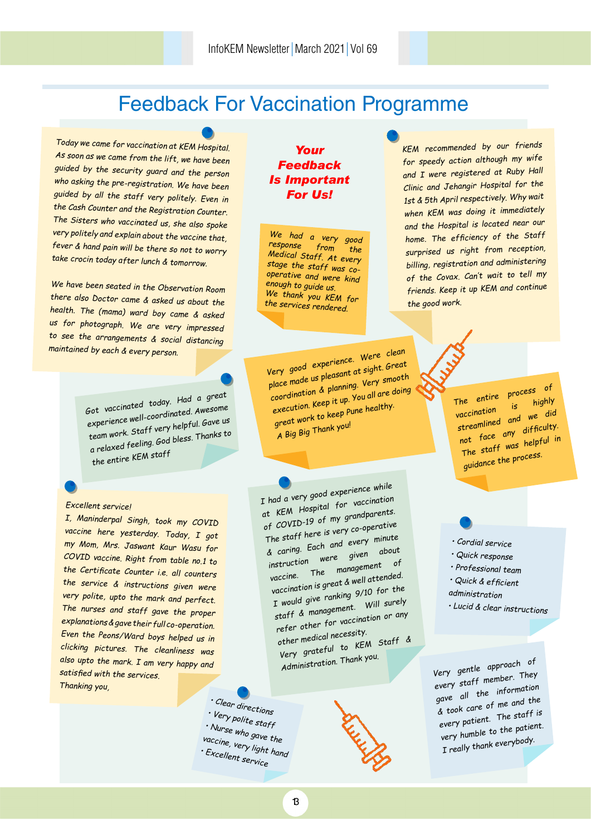## Feedback For Vaccination Programme

*Today we came for vaccination at KEM Hospital. As soon as we came from the lift, we have been guided by the security guard and the person who asking the pre-registration. We have been guided by all the staff very politely. Even in the Cash Counter and the Registration Counter. The Sisters who vaccinated us, she also spoke very politely and explain about the vaccine that, fever & hand pain will be there so not to worry take crocin today after lunch & tomorrow.*

*We have been seated in the Observation Room there also Doctor came & asked us about the health. The (mama) ward boy came & asked us for photograph. We are very impressed to see the arrangements & social distancing maintained by each & every person.*

> *Got vaccinated today. Had a great experience well-coordinated. Awesome team work. Staff very helpful. Gave us a relaxed feeling. God bless. Thanks to the entire KEM staff*

#### *Excellent service!*

*I, Maninderpal Singh, took my COVID vaccine here yesterday. Today, I got my Mom, Mrs. Jaswant Kaur Wasu for COVID vaccine. Right from table no.1 to the Certificate Counter i.e. all counters the service & instructions given were very polite, upto the mark and perfect. The nurses and staff gave the proper explanations & gave their full co-operation. Even the Peons/Ward boys helped us in clicking pictures. The cleanliness was also upto the mark. I am very happy and satisfied with the services. Thanking you,*

### *Your Feedback Is Important For Us!*

*We had a very good response from the Medical Staff. At every stage the staff was cooperative and were kind enough to guide us. We thank you KEM for the services rendered.*

*Very good experience. Were clean place made us pleasant at sight. Great coordination & planning. Very smooth execution. Keep it up. You all are doing great work to keep Pune healthy. A Big Big Thank you!*

*I had a very good experience while at KEM Hospital for vaccination of COVID-19 of my grandparents. The staff here is very co-operative & caring. Each and every minute instruction were given about vaccine. The management o<sup>f</sup> vaccination is great & well attended. I would give ranking 9/10 for the staff & management. Will surely refer other for vaccination or any other medical necessity. Very grateful to KEM Staff & Administration. Thank you.*

**RELIGION** 

*• Clear directions • Very polite staff • Nurse who gave the vaccine, very light hand • Excellent service*

*KEM recommended by our friends for speedy action although my wife and I were registered at Ruby Hall Clinic and Jehangir Hospital for the 1st & 5th April respectively. Why wait when KEM was doing it immediately and the Hospital is located near our home. The efficiency of the Staff surprised us right from reception, billing, registration and administering of the Covax. Can't wait to tell my friends. Keep it up KEM and continue the good work.*

> *The entire process of vaccination is highly streamlined and we did not face any difficulty. The staff was helpful in guidance the process.*

*• Cordial service*

- *Quick response*
- *Professional team • Quick & efficient*
- *administration*
- 
- *Lucid & clear instructions*

*Very gentle approach o<sup>f</sup> every staff member. They gave all the information & took care of me and the every patient. The staff is very humble to the patient. I really thank everybody.*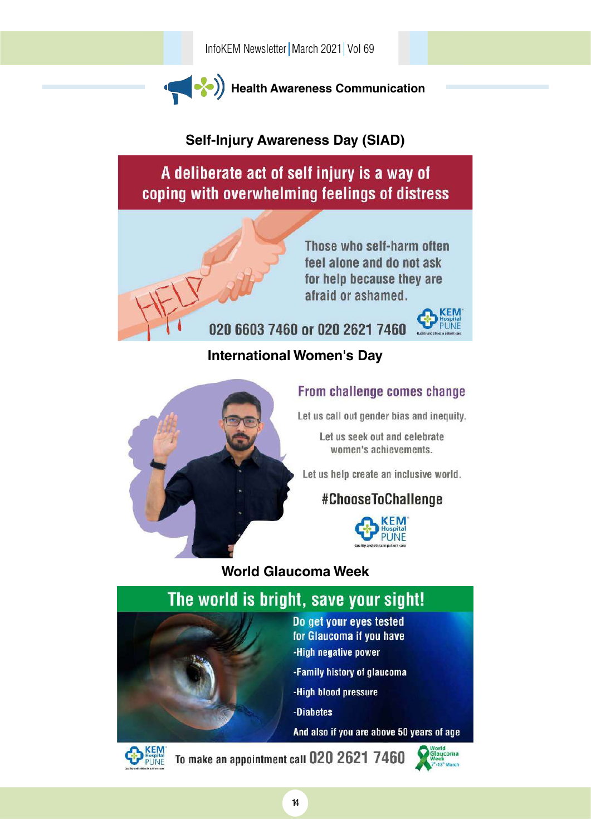

### **Self-Injury Awareness Day (SIAD)**

A deliberate act of self injury is a way of coping with overwhelming feelings of distress



Those who self-harm often feel alone and do not ask for help because they are afraid or ashamed.

020 6603 7460 or 020 2621 7460



### **International Women's Day**



### From challenge comes change

Let us call out gender bias and inequity.

Let us seek out and celebrate women's achievements.

Let us help create an inclusive world.

### #ChooseToChallenge



**World Glaucoma Week**





To make an appointment call 020 2621 7460

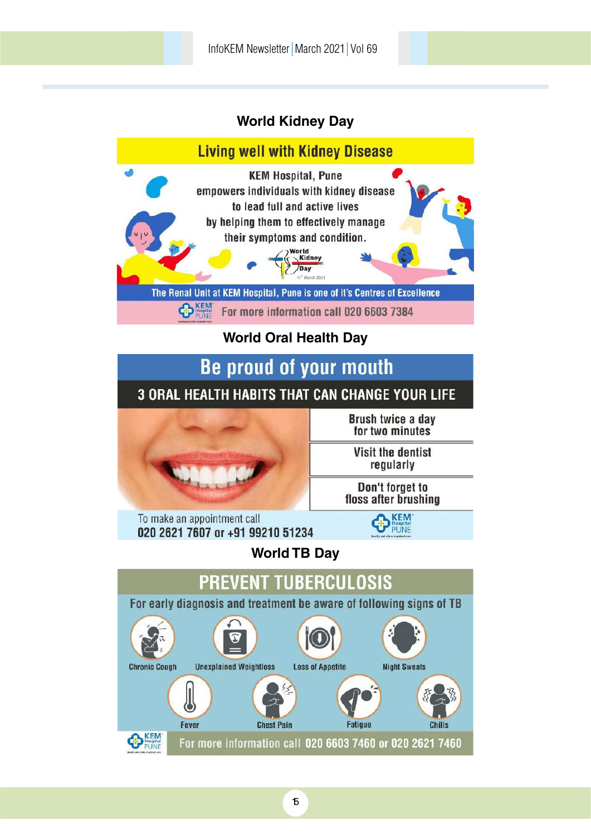### **World Kidney Day**